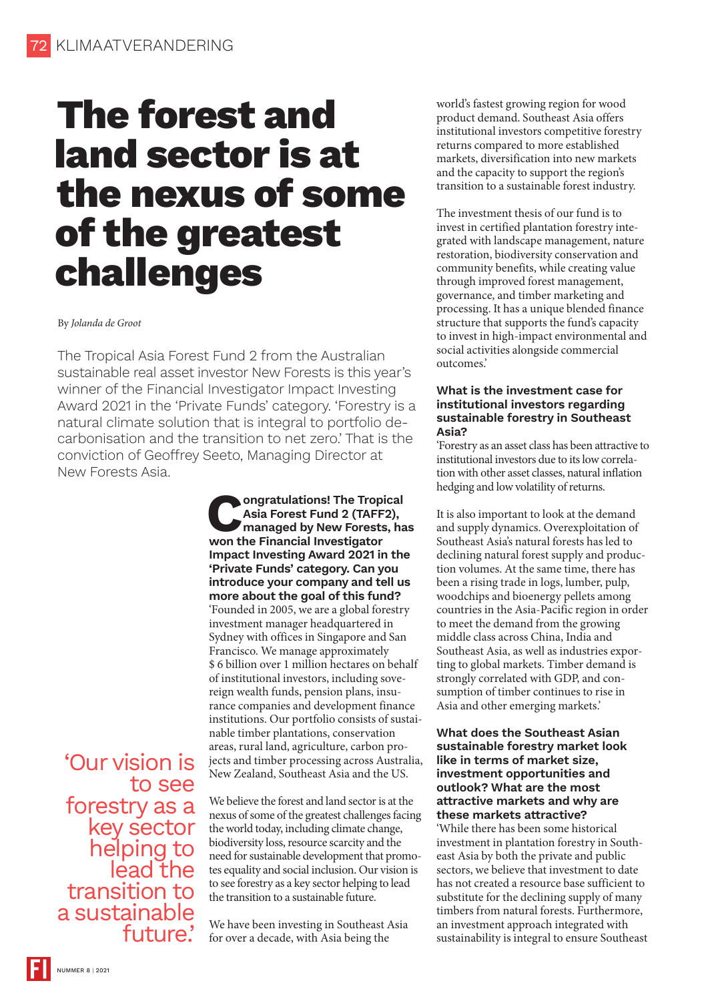# **The forest and land sector is at the nexus of some of the greatest challenges**

#### By *Jolanda de Groot*

The Tropical Asia Forest Fund 2 from the Australian sustainable real asset investor New Forests is this year's winner of the Financial Investigator Impact Investing Award 2021 in the 'Private Funds' category. 'Forestry is a natural climate solution that is integral to portfolio decarbonisation and the transition to net zero.' That is the conviction of Geoffrey Seeto, Managing Director at New Forests Asia.

> **Congratulations! The Tropical Asia Forest Fund 2 (TAFF2), managed by New Forests, has won the Financial Investigator Impact Investing Award 2021 in the 'Private Funds' category. Can you introduce your company and tell us more about the goal of this fund?** 'Founded in 2005, we are a global forestry investment manager headquartered in Sydney with offices in Singapore and San Francisco. We manage approximately \$ 6 billion over 1 million hectares on behalf of institutional investors, including sovereign wealth funds, pension plans, insurance companies and development finance institutions. Our portfolio consists of sustainable timber plantations, conservation areas, rural land, agriculture, carbon projects and timber processing across Australia, New Zealand, Southeast Asia and the US.

'Our vision is to see forestry as a key sector helping to lead the transition to a sustainable future.'

We believe the forest and land sector is at the nexus of some of the greatest challenges facing the world today, including climate change, biodiversity loss, resource scarcity and the need for sustainable development that promotes equality and social inclusion. Our vision is to see forestry as a key sector helping to lead the transition to a sustainable future.

We have been investing in Southeast Asia for over a decade, with Asia being the

world's fastest growing region for wood product demand. Southeast Asia offers institutional investors competitive forestry returns compared to more established markets, diversification into new markets and the capacity to support the region's transition to a sustainable forest industry.

The investment thesis of our fund is to invest in certified plantation forestry integrated with landscape management, nature restoration, biodiversity conservation and community benefits, while creating value through improved forest management, governance, and timber marketing and processing. It has a unique blended finance structure that supports the fund's capacity to invest in high-impact environmental and social activities alongside commercial outcomes.'

#### **What is the investment case for institutional investors regarding sustainable forestry in Southeast Asia?**

'Forestry as an asset class has been attractive to institutional investors due to its low correlation with other asset classes, natural inflation hedging and low volatility of returns.

It is also important to look at the demand and supply dynamics. Overexploitation of Southeast Asia's natural forests has led to declining natural forest supply and production volumes. At the same time, there has been a rising trade in logs, lumber, pulp, woodchips and bioenergy pellets among countries in the Asia-Pacific region in order to meet the demand from the growing middle class across China, India and Southeast Asia, as well as industries exporting to global markets. Timber demand is strongly correlated with GDP, and consumption of timber continues to rise in Asia and other emerging markets.'

## **What does the Southeast Asian sustainable forestry market look like in terms of market size, investment opportunities and outlook? What are the most attractive markets and why are these markets attractive?**

'While there has been some historical investment in plantation forestry in Southeast Asia by both the private and public sectors, we believe that investment to date has not created a resource base sufficient to substitute for the declining supply of many timbers from natural forests. Furthermore, an investment approach integrated with sustainability is integral to ensure Southeast